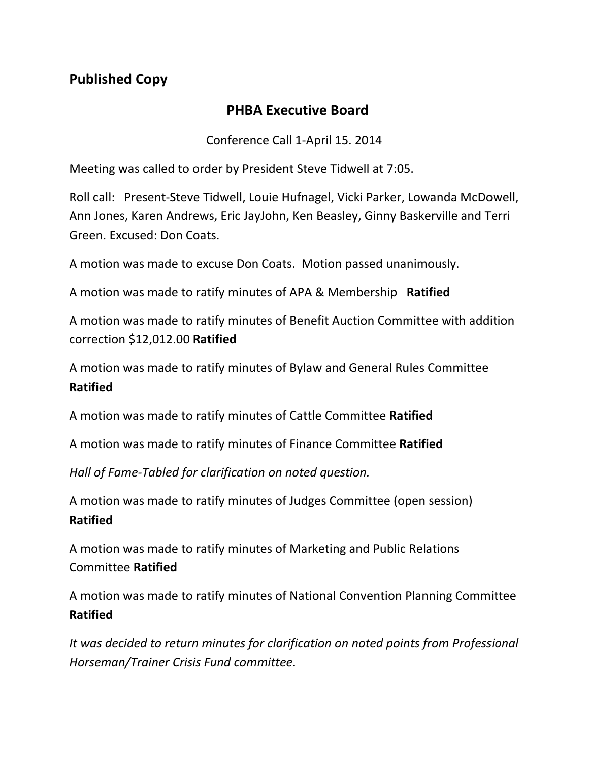## **Published Copy**

## **PHBA Executive Board**

Conference Call 1-April 15. 2014

Meeting was called to order by President Steve Tidwell at 7:05.

Roll call: Present-Steve Tidwell, Louie Hufnagel, Vicki Parker, Lowanda McDowell, Ann Jones, Karen Andrews, Eric JayJohn, Ken Beasley, Ginny Baskerville and Terri Green. Excused: Don Coats.

A motion was made to excuse Don Coats. Motion passed unanimously.

A motion was made to ratify minutes of APA & Membership **Ratified**

A motion was made to ratify minutes of Benefit Auction Committee with addition correction \$12,012.00 **Ratified**

A motion was made to ratify minutes of Bylaw and General Rules Committee **Ratified**

A motion was made to ratify minutes of Cattle Committee **Ratified**

A motion was made to ratify minutes of Finance Committee **Ratified**

*Hall of Fame-Tabled for clarification on noted question.*

A motion was made to ratify minutes of Judges Committee (open session) **Ratified**

A motion was made to ratify minutes of Marketing and Public Relations Committee **Ratified**

A motion was made to ratify minutes of National Convention Planning Committee **Ratified**

*It was decided to return minutes for clarification on noted points from Professional Horseman/Trainer Crisis Fund committee*.